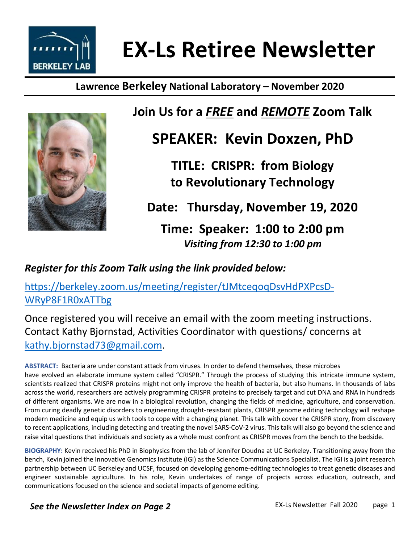

# **EX-Ls Retiree Newsletter**

### **Lawrence Berkeley National Laboratory – November 2020**



### **Join Us for a** *FREE* **and** *REMOTE* **Zoom Talk**

# **SPEAKER: Kevin Doxzen, PhD**

**TITLE: CRISPR: from Biology to Revolutionary Technology**

**Date: Thursday, November 19, 2020**

**Time: Speaker: 1:00 to 2:00 pm**  *Visiting from 12:30 to 1:00 pm* 

*Register for this Zoom Talk using the link provided below:*

https://berkeley.zoom.us/meeting/register/tJMtceqoqDsvHdPXPcsD-WRyP8F1R0xATTbg

Once registered you will receive an email with the zoom meeting instructions. Contact Kathy Bjornstad, Activities Coordinator with questions/ concerns at kathy.bjornstad73@gmail.com.

**ABSTRACT:** Bacteria are under constant attack from viruses. In order to defend themselves, these microbes have evolved an elaborate immune system called "CRISPR." Through the process of studying this intricate immune system, scientists realized that CRISPR proteins might not only improve the health of bacteria, but also humans. In thousands of labs across the world, researchers are actively programming CRISPR proteins to precisely target and cut DNA and RNA in hundreds of different organisms. We are now in a biological revolution, changing the fields of medicine, agriculture, and conservation. From curing deadly genetic disorders to engineering drought-resistant plants, CRISPR genome editing technology will reshape modern medicine and equip us with tools to cope with a changing planet. This talk with cover the CRISPR story, from discovery to recent applications, including detecting and treating the novel SARS-CoV-2 virus. This talk will also go beyond the science and raise vital questions that individuals and society as a whole must confront as CRISPR moves from the bench to the bedside.

**BIOGRAPHY:** Kevin received his PhD in Biophysics from the lab of Jennifer Doudna at UC Berkeley. Transitioning away from the bench, Kevin joined the Innovative Genomics Institute (IGI) as the Science Communications Specialist. The IGI is a joint research partnership between UC Berkeley and UCSF, focused on developing genome-editing technologies to treat genetic diseases and engineer sustainable agriculture. In his role, Kevin undertakes of range of projects across education, outreach, and communications focused on the science and societal impacts of genome editing.

*See the Newsletter Index on Page 2*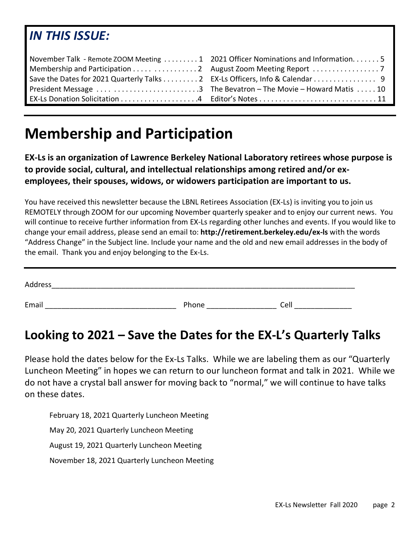### *IN THIS ISSUE:*

| November Talk - Remote ZOOM Meeting 1 2021 Officer Nominations and Information5 |
|---------------------------------------------------------------------------------|
| Membership and Participation 2 August Zoom Meeting Report 7                     |
| Save the Dates for 2021 Quarterly Talks 2 EX-Ls Officers, Info & Calendar 9     |
|                                                                                 |
|                                                                                 |

# **Membership and Participation**

**EX-Ls is an organization of Lawrence Berkeley National Laboratory retirees whose purpose is to provide social, cultural, and intellectual relationships among retired and/or exemployees, their spouses, widows, or widowers participation are important to us.**

You have received this newsletter because the LBNL Retirees Association (EX-Ls) is inviting you to join us REMOTELY through ZOOM for our upcoming November quarterly speaker and to enjoy our current news. You will continue to receive further information from EX-Ls regarding other lunches and events. If you would like to change your email address, please send an email to: **http://retirement.berkeley.edu/ex-ls** with the words "Address Change" in the Subject line. Include your name and the old and new email addresses in the body of the email. Thank you and enjoy belonging to the Ex-Ls.

| Address |       |      |
|---------|-------|------|
| Email   | Phone | Cell |

### **Looking to 2021 – Save the Dates for the EX-L's Quarterly Talks**

Please hold the dates below for the Ex-Ls Talks. While we are labeling them as our "Quarterly Luncheon Meeting" in hopes we can return to our luncheon format and talk in 2021. While we do not have a crystal ball answer for moving back to "normal," we will continue to have talks on these dates.

February 18, 2021 Quarterly Luncheon Meeting May 20, 2021 Quarterly Luncheon Meeting August 19, 2021 Quarterly Luncheon Meeting November 18, 2021 Quarterly Luncheon Meeting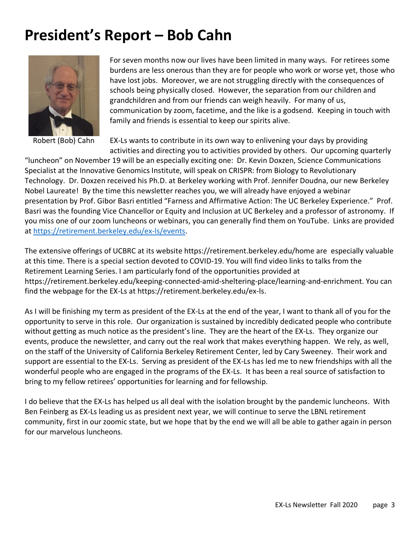# **President's Report – Bob Cahn**



Robert (Bob) Cahn

For seven months now our lives have been limited in many ways. For retirees some burdens are less onerous than they are for people who work or worse yet, those who have lost jobs. Moreover, we are not struggling directly with the consequences of schools being physically closed. However, the separation from our children and grandchildren and from our friends can weigh heavily. For many of us, communication by zoom, facetime, and the like is a godsend. Keeping in touch with family and friends is essential to keep our spirits alive.

EX-Ls wants to contribute in its own way to enlivening your days by providing activities and directing you to activities provided by others. Our upcoming quarterly

"luncheon" on November 19 will be an especially exciting one: Dr. Kevin Doxzen, Science Communications Specialist at the Innovative Genomics Institute, will speak on CRISPR: from Biology to Revolutionary Technology. Dr. Doxzen received his Ph.D. at Berkeley working with Prof. Jennifer Doudna, our new Berkeley Nobel Laureate! By the time this newsletter reaches you, we will already have enjoyed a webinar presentation by Prof. Gibor Basri entitled "Farness and Affirmative Action: The UC Berkeley Experience." Prof. Basri was the founding Vice Chancellor or Equity and Inclusion at UC Berkeley and a professor of astronomy. If you miss one of our zoom luncheons or webinars, you can generally find them on YouTube. Links are provided at https://retirement.berkeley.edu/ex-ls/events.

The extensive offerings of UCBRC at its website https://retirement.berkeley.edu/home are especially valuable at this time. There is a special section devoted to COVID-19. You will find video links to talks from the Retirement Learning Series. I am particularly fond of the opportunities provided at https://retirement.berkeley.edu/keeping-connected-amid-sheltering-place/learning-and-enrichment. You can find the webpage for the EX-Ls at https://retirement.berkeley.edu/ex-ls.

As I will be finishing my term as president of the EX-Ls at the end of the year, I want to thank all of you for the opportunity to serve in this role. Our organization is sustained by incredibly dedicated people who contribute without getting as much notice as the president's line. They are the heart of the EX-Ls. They organize our events, produce the newsletter, and carry out the real work that makes everything happen. We rely, as well, on the staff of the University of California Berkeley Retirement Center, led by Cary Sweeney. Their work and support are essential to the EX-Ls. Serving as president of the EX-Ls has led me to new friendships with all the wonderful people who are engaged in the programs of the EX-Ls. It has been a real source of satisfaction to bring to my fellow retirees' opportunities for learning and for fellowship.

I do believe that the EX-Ls has helped us all deal with the isolation brought by the pandemic luncheons. With Ben Feinberg as EX-Ls leading us as president next year, we will continue to serve the LBNL retirement community, first in our zoomic state, but we hope that by the end we will all be able to gather again in person for our marvelous luncheons.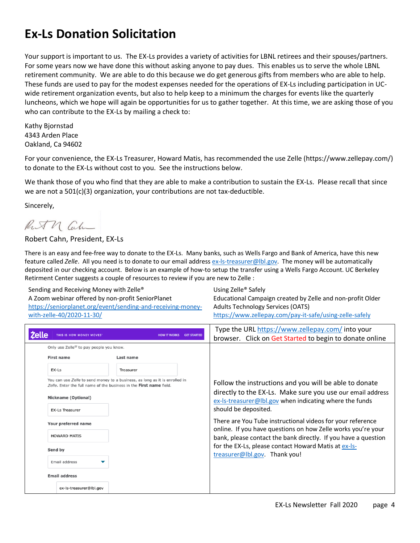### **Ex-Ls Donation Solicitation**

Your support is important to us. The EX-Ls provides a variety of activities for LBNL retirees and their spouses/partners. For some years now we have done this without asking anyone to pay dues. This enables us to serve the whole LBNL retirement community. We are able to do this because we do get generous gifts from members who are able to help. These funds are used to pay for the modest expenses needed for the operations of EX-Ls including participation in UCwide retirement organization events, but also to help keep to a minimum the charges for events like the quarterly luncheons, which we hope will again be opportunities for us to gather together. At this time, we are asking those of you who can contribute to the EX-Ls by mailing a check to:

Kathy Bjornstad 4343 Arden Place Oakland, Ca 94602

For your convenience, the EX-Ls Treasurer, Howard Matis, has recommended the use Zelle (https://www.zellepay.com/) to donate to the EX-Ls without cost to you. See the instructions below.

We thank those of you who find that they are able to make a contribution to sustain the EX-Ls. Please recall that since we are not a 501(c)(3) organization, your contributions are not tax-deductible.

Sincerely,

Ruth Cal

#### Robert Cahn, President, EX-Ls

There is an easy and fee-free way to donate to the EX-Ls. Many banks, such as Wells Fargo and Bank of America, have this new feature called *Zelle*. All you need is to donate to our email address ex-ls-treasurer@lbl.gov. The money will be automatically deposited in our checking account. Below is an example of how-to setup the transfer using a Wells Fargo Account. UC Berkeley Retirment Center suggests a couple of resources to review if you are new to Zelle :

| Sending and Receiving Money with Zelle <sup>®</sup>         | Using Zelle <sup>®</sup> Safely                                |
|-------------------------------------------------------------|----------------------------------------------------------------|
| A Zoom webinar offered by non-profit SeniorPlanet           | Educational Campaign created by Zelle and non-profit Older     |
| https://seniorplanet.org/event/sending-and-receiving-money- | <b>Adults Technology Services (OATS)</b>                       |
| with-zelle-40/2020-11-30/                                   | https://www.zellepay.com/pay-it-safe/using-zelle-safely        |
|                                                             | $T_{1,100}$ the UDL https:// $\mu$ nus relleger cam/intervalue |

|              |                                                     |                                                                                                                                                    | Type the URL https://www.zellepay.com/ into your                                                                                                                                |
|--------------|-----------------------------------------------------|----------------------------------------------------------------------------------------------------------------------------------------------------|---------------------------------------------------------------------------------------------------------------------------------------------------------------------------------|
| <b>Zelle</b> | THIS IS HOW MONEY MOVES                             | <b>HOW IT WORKS</b><br><b>GET STARTED</b>                                                                                                          | browser. Click on Get Started to begin to donate online                                                                                                                         |
|              | Only use Zelle <sup>®</sup> to pay people you know. |                                                                                                                                                    |                                                                                                                                                                                 |
|              | <b>First name</b>                                   | Last name                                                                                                                                          |                                                                                                                                                                                 |
|              | $EX-LS$                                             | Treasurer                                                                                                                                          |                                                                                                                                                                                 |
|              | Nickname (Optional)                                 | You can use Zelle to send money to a business, as long as it is enrolled in<br>Zelle. Enter the full name of the business in the First name field. | Follow the instructions and you will be able to donate<br>directly to the EX-Ls. Make sure you use our email address<br>ex-Is-treasurer@Ibl.gov when indicating where the funds |
|              | <b>EX-Ls Treasurer</b>                              |                                                                                                                                                    | should be deposited.                                                                                                                                                            |
|              | Your preferred name                                 |                                                                                                                                                    | There are You Tube instructional videos for your reference<br>online. If you have questions on how Zelle works you're your                                                      |
|              | <b>HOWARD MATIS</b>                                 |                                                                                                                                                    | bank, please contact the bank directly. If you have a question                                                                                                                  |
|              | Send by                                             |                                                                                                                                                    | for the EX-Ls, please contact Howard Matis at ex-Is-<br>treasurer@lbl.gov. Thank you!                                                                                           |
|              | Email address                                       |                                                                                                                                                    |                                                                                                                                                                                 |
|              | <b>Email address</b>                                |                                                                                                                                                    |                                                                                                                                                                                 |
|              | ex-ls-treasurer@lbl.gov                             |                                                                                                                                                    |                                                                                                                                                                                 |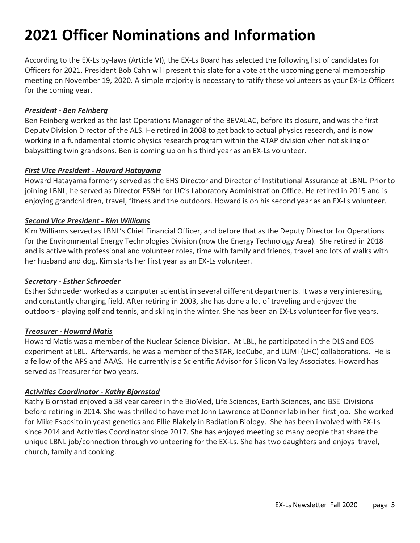# **2021 Officer Nominations and Information**

According to the EX-Ls by-laws (Article VI), the EX-Ls Board has selected the following list of candidates for Officers for 2021. President Bob Cahn will present this slate for a vote at the upcoming general membership meeting on November 19, 2020. A simple majority is necessary to ratify these volunteers as your EX-Ls Officers for the coming year.

#### *President - Ben Feinberg*

Ben Feinberg worked as the last Operations Manager of the BEVALAC, before its closure, and was the first Deputy Division Director of the ALS. He retired in 2008 to get back to actual physics research, and is now working in a fundamental atomic physics research program within the ATAP division when not skiing or babysitting twin grandsons. Ben is coming up on his third year as an EX-Ls volunteer.

#### *First Vice President - Howard Hatayama*

Howard Hatayama formerly served as the EHS Director and Director of Institutional Assurance at LBNL. Prior to joining LBNL, he served as Director ES&H for UC's Laboratory Administration Office. He retired in 2015 and is enjoying grandchildren, travel, fitness and the outdoors. Howard is on his second year as an EX-Ls volunteer.

#### *Second Vice President - Kim Williams*

Kim Williams served as LBNL's Chief Financial Officer, and before that as the Deputy Director for Operations for the Environmental Energy Technologies Division (now the Energy Technology Area). She retired in 2018 and is active with professional and volunteer roles, time with family and friends, travel and lots of walks with her husband and dog. Kim starts her first year as an EX-Ls volunteer.

#### *Secretary - Esther Schroeder*

Esther Schroeder worked as a computer scientist in several different departments. It was a very interesting and constantly changing field. After retiring in 2003, she has done a lot of traveling and enjoyed the outdoors - playing golf and tennis, and skiing in the winter. She has been an EX-Ls volunteer for five years.

#### *Treasurer - Howard Matis*

Howard Matis was a member of the Nuclear Science Division. At LBL, he participated in the DLS and EOS experiment at LBL. Afterwards, he was a member of the STAR, IceCube, and LUMI (LHC) collaborations. He is a fellow of the APS and AAAS. He currently is a Scientific Advisor for Silicon Valley Associates. Howard has served as Treasurer for two years.

#### *Activities Coordinator - Kathy Bjornstad*

Kathy Bjornstad enjoyed a 38 year career in the BioMed, Life Sciences, Earth Sciences, and BSE Divisions before retiring in 2014. She was thrilled to have met John Lawrence at Donner lab in her first job. She worked for Mike Esposito in yeast genetics and Ellie Blakely in Radiation Biology. She has been involved with EX-Ls since 2014 and Activities Coordinator since 2017. She has enjoyed meeting so many people that share the unique LBNL job/connection through volunteering for the EX-Ls. She has two daughters and enjoys travel, church, family and cooking.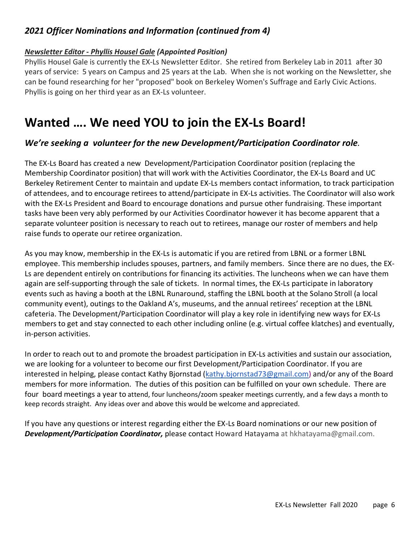#### *2021 Officer Nominations and Information (continued from 4)*

#### *Newsletter Editor - Phyllis Housel Gale (Appointed Position)*

Phyllis Housel Gale is currently the EX-Ls Newsletter Editor. She retired from Berkeley Lab in 2011 after 30 years of service: 5 years on Campus and 25 years at the Lab. When she is not working on the Newsletter, she can be found researching for her "proposed" book on Berkeley Women's Suffrage and Early Civic Actions. Phyllis is going on her third year as an EX-Ls volunteer.

### **Wanted …. We need YOU to join the EX-Ls Board!**

#### *We're seeking a volunteer for the new Development/Participation Coordinator role.*

The EX-Ls Board has created a new Development/Participation Coordinator position (replacing the Membership Coordinator position) that will work with the Activities Coordinator, the EX-Ls Board and UC Berkeley Retirement Center to maintain and update EX-Ls members contact information, to track participation of attendees, and to encourage retirees to attend/participate in EX-Ls activities. The Coordinator will also work with the EX-Ls President and Board to encourage donations and pursue other fundraising. These important tasks have been very ably performed by our Activities Coordinator however it has become apparent that a separate volunteer position is necessary to reach out to retirees, manage our roster of members and help raise funds to operate our retiree organization.

As you may know, membership in the EX-Ls is automatic if you are retired from LBNL or a former LBNL employee. This membership includes spouses, partners, and family members. Since there are no dues, the EX-Ls are dependent entirely on contributions for financing its activities. The luncheons when we can have them again are self-supporting through the sale of tickets. In normal times, the EX-Ls participate in laboratory events such as having a booth at the LBNL Runaround, staffing the LBNL booth at the Solano Stroll (a local community event), outings to the Oakland A's, museums, and the annual retirees' reception at the LBNL cafeteria. The Development/Participation Coordinator will play a key role in identifying new ways for EX-Ls members to get and stay connected to each other including online (e.g. virtual coffee klatches) and eventually, in-person activities.

In order to reach out to and promote the broadest participation in EX-Ls activities and sustain our association, we are looking for a volunteer to become our first Development/Participation Coordinator. If you are interested in helping, please contact Kathy Bjornstad (kathy.bjornstad73@gmail.com) and/or any of the Board members for more information. The duties of this position can be fulfilled on your own schedule. There are four board meetings a year to attend, four luncheons/zoom speaker meetings currently, and a few days a month to keep records straight. Any ideas over and above this would be welcome and appreciated.

If you have any questions or interest regarding either the EX-Ls Board nominations or our new position of *Development/Participation Coordinator,* please contact Howard Hatayama at hkhatayama@gmail.com.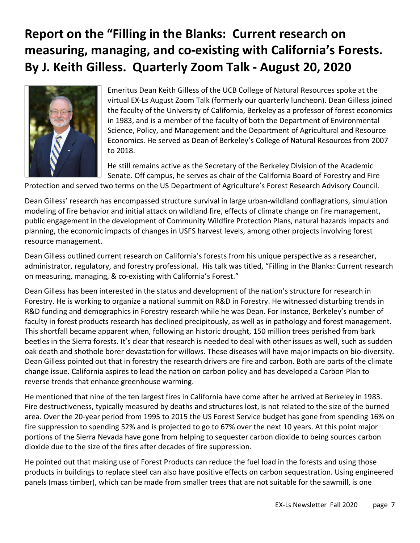## **Report on the "Filling in the Blanks: Current research on measuring, managing, and co-existing with California's Forests. By J. Keith Gilless. Quarterly Zoom Talk - August 20, 2020**



Emeritus Dean Keith Gilless of the UCB College of Natural Resources spoke at the virtual EX-Ls August Zoom Talk (formerly our quarterly luncheon). Dean Gilless joined the faculty of the University of California, Berkeley as a professor of forest economics in 1983, and is a member of the faculty of both the Department of Environmental Science, Policy, and Management and the Department of Agricultural and Resource Economics. He served as Dean of Berkeley's College of Natural Resources from 2007 to 2018.

He still remains active as the Secretary of the Berkeley Division of the Academic Senate. Off campus, he serves as chair of the California Board of Forestry and Fire

Protection and served two terms on the US Department of Agriculture's Forest Research Advisory Council.

Dean Gilless' research has encompassed structure survival in large urban-wildland conflagrations, simulation modeling of fire behavior and initial attack on wildland fire, effects of climate change on fire management, public engagement in the development of Community Wildfire Protection Plans, natural hazards impacts and planning, the economic impacts of changes in USFS harvest levels, among other projects involving forest resource management.

Dean Gilless outlined current research on California's forests from his unique perspective as a researcher, administrator, regulatory, and forestry professional. His talk was titled, "Filling in the Blanks: Current research on measuring, managing, & co-existing with California's Forest."

Dean Gilless has been interested in the status and development of the nation's structure for research in Forestry. He is working to organize a national summit on R&D in Forestry. He witnessed disturbing trends in R&D funding and demographics in Forestry research while he was Dean. For instance, Berkeley's number of faculty in forest products research has declined precipitously, as well as in pathology and forest management. This shortfall became apparent when, following an historic drought, 150 million trees perished from bark beetles in the Sierra forests. It's clear that research is needed to deal with other issues as well, such as sudden oak death and shothole borer devastation for willows. These diseases will have major impacts on bio-diversity. Dean Gilless pointed out that in forestry the research drivers are fire and carbon. Both are parts of the climate change issue. California aspires to lead the nation on carbon policy and has developed a Carbon Plan to reverse trends that enhance greenhouse warming.

He mentioned that nine of the ten largest fires in California have come after he arrived at Berkeley in 1983. Fire destructiveness, typically measured by deaths and structures lost, is not related to the size of the burned area. Over the 20-year period from 1995 to 2015 the US Forest Service budget has gone from spending 16% on fire suppression to spending 52% and is projected to go to 67% over the next 10 years. At this point major portions of the Sierra Nevada have gone from helping to sequester carbon dioxide to being sources carbon dioxide due to the size of the fires after decades of fire suppression.

He pointed out that making use of Forest Products can reduce the fuel load in the forests and using those products in buildings to replace steel can also have positive effects on carbon sequestration. Using engineered panels (mass timber), which can be made from smaller trees that are not suitable for the sawmill, is one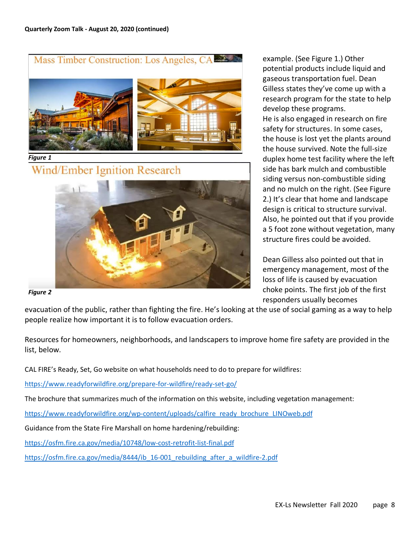Mass Timber Construction: Los Angeles, CA



*Figure 1*

**Wind/Ember Ignition Research** 



example. (See Figure 1.) Other potential products include liquid and gaseous transportation fuel. Dean Gilless states they've come up with a research program for the state to help develop these programs. He is also engaged in research on fire safety for structures. In some cases, the house is lost yet the plants around the house survived. Note the full-size duplex home test facility where the left side has bark mulch and combustible siding versus non-combustible siding and no mulch on the right. (See Figure 2.) It's clear that home and landscape design is critical to structure survival. Also, he pointed out that if you provide a 5 foot zone without vegetation, many structure fires could be avoided.

Dean Gilless also pointed out that in emergency management, most of the loss of life is caused by evacuation choke points. The first job of the first responders usually becomes

*Figure 2*

evacuation of the public, rather than fighting the fire. He's looking at the use of social gaming as a way to help people realize how important it is to follow evacuation orders.

Resources for homeowners, neighborhoods, and landscapers to improve home fire safety are provided in the list, below.

CAL FIRE's Ready, Set, Go website on what households need to do to prepare for wildfires:

https://www.readyforwildfire.org/prepare-for-wildfire/ready-set-go/

The brochure that summarizes much of the information on this website, including vegetation management:

https://www.readyforwildfire.org/wp-content/uploads/calfire\_ready\_brochure\_LINOweb.pdf

Guidance from the State Fire Marshall on home hardening/rebuilding:

https://osfm.fire.ca.gov/media/10748/low-cost-retrofit-list-final.pdf

https://osfm.fire.ca.gov/media/8444/ib\_16-001\_rebuilding\_after\_a\_wildfire-2.pdf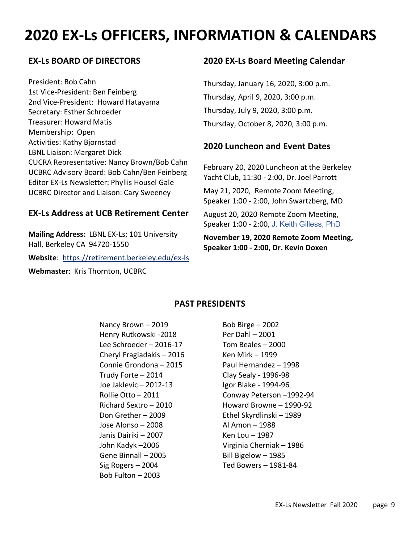# **2020 EX-Ls OFFICERS, INFORMATION & CALENDARS**

#### **EX-Ls BOARD OF DIRECTORS**

President: Bob Cahn 1st Vice-President: Ben Feinberg 2nd Vice-President: Howard Hatayama Secretary: Esther Schroeder Treasurer: Howard Matis Membership: Open Activities: Kathy Bjornstad LBNL Liaison: Margaret Dick CUCRA Representative: Nancy Brown/Bob Cahn UCBRC Advisory Board: Bob Cahn/Ben Feinberg Editor EX-Ls Newsletter: Phyllis Housel Gale UCBRC Director and Liaison: Cary Sweeney

#### **EX-Ls Address at UCB Retirement Center**

**Mailing Address:** LBNL EX-Ls; 101 University Hall, Berkeley CA 94720-1550

**Website**: https://retirement.berkeley.edu/ex-ls

**Webmaster**: Kris Thornton, UCBRC

#### **2020 EX-Ls Board Meeting Calendar**

Thursday, January 16, 2020, 3:00 p.m. Thursday, April 9, 2020, 3:00 p.m. Thursday, July 9, 2020, 3:00 p.m. Thursday, October 8, 2020, 3:00 p.m.

#### **2020 Luncheon and Event Dates**

February 20, 2020 Luncheon at the Berkeley Yacht Club, 11:30 - 2:00, Dr. Joel Parrott

May 21, 2020, Remote Zoom Meeting, Speaker 1:00 - 2:00, John Swartzberg, MD

August 20, 2020 Remote Zoom Meeting, Speaker 1:00 - 2:00, J. Keith Gilless, PhD

**November 19, 2020 Remote Zoom Meeting, Speaker 1:00 - 2:00, Dr. Kevin Doxen**

#### **PAST PRESIDENTS**

Nancy Brown  $-2019$  Bob Birge  $-2002$ Henry Rutkowski -2018 Per Dahl – 2001 Lee Schroeder – 2016-17 Tom Beales – 2000 Cheryl Fragiadakis – 2016 Ken Mirk – 1999 Connie Grondona – 2015 Paul Hernandez – 1998 Trudy Forte – 2014 Clay Sealy - 1996-98 Joe Jaklevic – 2012-13 Igor Blake - 1994-96 Don Grether – 2009 Ethel Skyrdlinski – 1989 Jose Alonso – 2008 Al Amon – 1988 Janis Dairiki – 2007 Ken Lou – 1987 John Kadyk –2006 Virginia Cherniak – 1986 Gene Binnall – 2005 Bill Bigelow – 1985 Sig Rogers – 2004 Ted Bowers – 1981-84 Bob Fulton – 2003

Rollie Otto – 2011 Conway Peterson –1992-94 Richard Sextro – 2010 Howard Browne – 1990-92